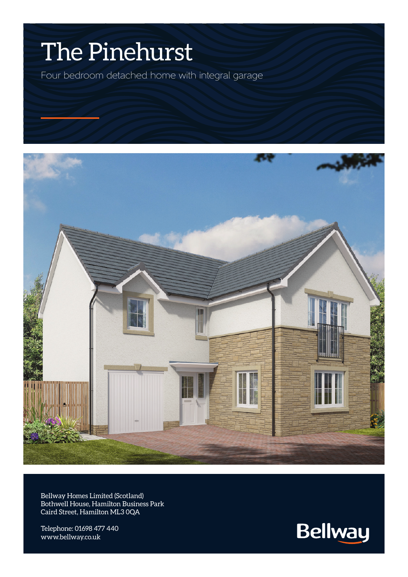## The Pinehurst

Four bedroom detached home with integral garage



Bellway Homes Limited (Scotland) Bothwell House, Hamilton Business Park Caird Street, Hamilton ML3 0QA

Telephone: 01698 477 440 www.bellway.co.uk

**Bellway**